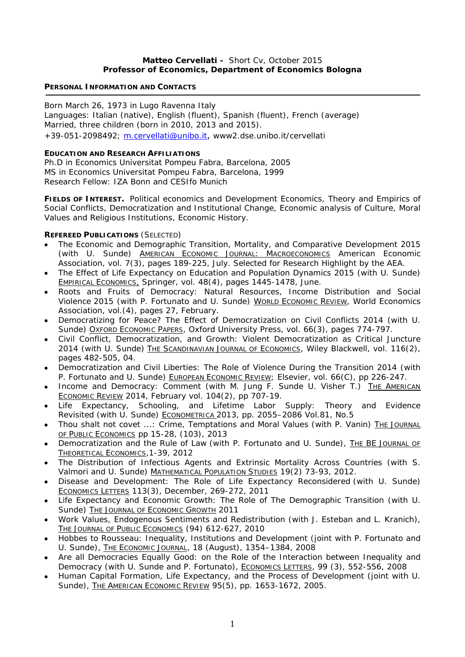## **Matteo Cervellati -** Short Cv, October 2015 **Professor of Economics, Department of Economics Bologna**

## **PERSONAL INFORMATION AND CONTACTS**

Born March 26, 1973 in Lugo Ravenna Italy Languages: Italian (native), English (fluent), Spanish (fluent), French (average) Married, three children (born in 2010, 2013 and 2015). +39-051-2098492; m.cervellati@unibo.it, www2.dse.unibo.it/cervellati

## **EDUCATION AND RESEARCH AFFILIATIONS**

Ph.D in Economics Universitat Pompeu Fabra, Barcelona, 2005 MS in Economics Universitat Pompeu Fabra, Barcelona, 1999 Research Fellow: IZA Bonn and CESIfo Munich

**FIELDS OF INTEREST.** Political economics and Development Economics, Theory and Empirics of Social Conflicts, Democratization and Institutional Change, Economic analysis of Culture, Moral Values and Religious Institutions, Economic History.

# **REFEREED PUBLICATIONS** (SELECTED)

- *The Economic and Demographic Transition, Mortality, and Comparative Development* 2015 (with U. Sunde) **AMERICAN ECONOMIC JOURNAL: MACROECONOMICS** American Economic Association, vol. 7(3), pages 189-225, July. Selected for Research Highlight by the AEA.
- *The Effect of Life Expectancy on Education and Population Dynamics* 2015 (with U. Sunde) EMPIRICAL ECONOMICS, Springer, vol. 48(4), pages 1445-1478, June.
- *Roots and Fruits of Democracy: Natural Resources, Income Distribution and Social Violence* 2015 (with P. Fortunato and U. Sunde) WORLD ECONOMIC REVIEW, World Economics Association, vol.(4), pages 27, February.
- *Democratizing for Peace? The Effect of Democratization on Civil Conflicts* 2014 (with U. Sunde) OXFORD ECONOMIC PAPERS, Oxford University Press, vol. 66(3), pages 774-797.
- *Civil Conflict, Democratization, and Growth: Violent Democratization as Critical Juncture* 2014 (with U. Sunde) THE SCANDINAVIAN JOURNAL OF ECONOMICS, Wiley Blackwell, vol. 116(2), pages 482-505, 04.
- *Democratization and Civil Liberties: The Role of Violence During the Transition* 2014 (with P. Fortunato and U. Sunde) EUROPEAN ECONOMIC REVIEW; Elsevier, vol. 66(C), pp 226-247.
- *Income and Democracy: Comment* (with M. Jung F. Sunde U. Visher T.)THE AMERICAN ECONOMIC REVIEW 2014, February vol. 104(2), pp 707-19.
- *Life Expectancy, Schooling, and Lifetime Labor Supply: Theory and Evidence Revisited* (with U. Sunde) ECONOMETRICA 2013, pp. 2055–2086 Vol.81, No.5
- *Thou shalt not covet ...: Crime, Temptations and Moral Values* (with P. Vanin) THE JOURNAL OF PUBLIC ECONOMICS pp 15-28, (103), 2013
- Democratization and the Rule of Law (with P. Fortunato and U. Sunde), THE BE JOURNAL OF THEORETICAL ECONOMICS*,*1-39, 2012
- *The Distribution of Infectious Agents and Extrinsic Mortality Across Countries* (with S. Valmori and U. Sunde) MATHEMATICAL POPULATION STUDIES 19(2) 73-93, 2012.
- Disease and Development: The Role of Life Expectancy Reconsidered (with U. Sunde) ECONOMICS LETTERS 113(3), December, 269-272, 2011
- *Life Expectancy and Economic Growth: The Role of The Demographic Transition* (with U. Sunde) THE JOURNAL OF ECONOMIC GROWTH 2011
- *Work Values, Endogenous Sentiments and Redistribution* (with J. Esteban and L. Kranich), THE JOURNAL OF PUBLIC ECONOMICS (94) 612-627, 2010
- *Hobbes to Rousseau: Inequality, Institutions and Development* (joint with P. Fortunato and U. Sunde), THE ECONOMIC JOURNAL, 18 (August), 1354-1384, 2008
- *Are all Democracies Equally Good: on the Role of the Interaction between Inequality and Democracy* (with U. Sunde and P. Fortunato), ECONOMICS LETTERS, 99 (3), 552-556, 2008
- *Human Capital Formation, Life Expectancy, and the Process of Development* (joint with U. Sunde), THE AMERICAN ECONOMIC REVIEW 95(5), pp. 1653-1672, 2005.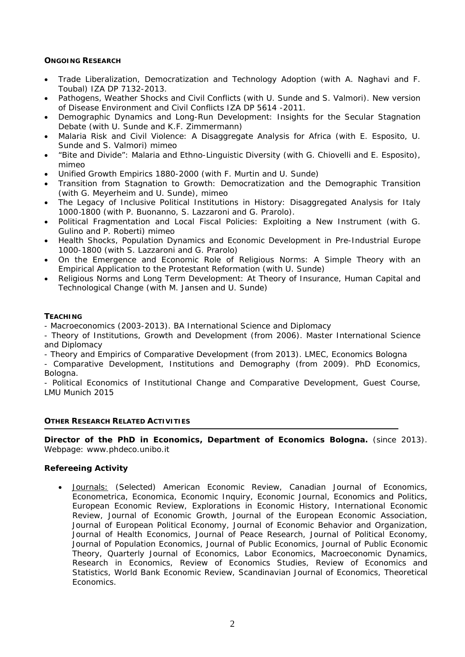## **ONGOING RESEARCH**

- *Trade Liberalization, Democratization and Technology Adoption* (with A. Naghavi and F. Toubal) IZA DP 7132-2013.
- *Pathogens, Weather Shocks and Civil Conflicts* (with U. Sunde and S. Valmori). New version of Disease Environment and Civil Conflicts IZA DP 5614 -2011.
- *Demographic Dynamics and Long-Run Development: Insights for the Secular Stagnation Debate* (with U. Sunde and K.F. Zimmermann)
- *Malaria Risk and Civil Violence: A Disaggregate Analysis for Africa* (with E. Esposito, U. Sunde and S. Valmori) mimeo
- *"Bite and Divide": Malaria and Ethno-Linguistic Diversity* (with G. Chiovelli and E. Esposito), mimeo
- *Unified Growth Empirics 1880-2000* (with F. Murtin and U. Sunde)
- *Transition from Stagnation to Growth: Democratization and the Demographic Transition*  (with G. Meyerheim and U. Sunde), mimeo
- *The Legacy of Inclusive Political Institutions in History: Disaggregated Analysis for Italy 1000*‐*1800* (with P. Buonanno, S. Lazzaroni and G. Prarolo).
- Political Fragmentation and Local Fiscal Policies: Exploiting a New Instrument (with G. Gulino and P. Roberti) mimeo
- *Health Shocks, Population Dynamics and Economic Development in Pre-Industrial Europe 1000-1800* (with S. Lazzaroni and G. Prarolo)
- *On the Emergence and Economic Role of Religious Norms: A Simple Theory with an Empirical Application to the Protestant Reformation* (with U. Sunde)
- *Religious Norms and Long Term Development: At Theory of Insurance, Human Capital and Technological Change* (with M. Jansen and U. Sunde)

## **TEACHING**

- Macroeconomics (2003-2013). BA International Science and Diplomacy

- Theory of Institutions, Growth and Development (from 2006). Master International Science and Diplomacy

- Theory and Empirics of Comparative Development (from 2013). LMEC, Economics Bologna

- Comparative Development, Institutions and Demography (from 2009). PhD Economics, Bologna.

- Political Economics of Institutional Change and Comparative Development, Guest Course, LMU Munich 2015

## **OTHER RESEARCH RELATED ACTIVITIES**

**Director of the PhD in Economics, Department of Economics Bologna.** (since 2013). Webpage: www.phdeco.unibo.it

## **Refereeing Activity**

 Journals: (Selected) American Economic Review, Canadian Journal of Economics, Econometrica, Economica, Economic Inquiry, Economic Journal, Economics and Politics, European Economic Review, Explorations in Economic History, International Economic Review, Journal of Economic Growth, Journal of the European Economic Association, Journal of European Political Economy, Journal of Economic Behavior and Organization, Journal of Health Economics, Journal of Peace Research, Journal of Political Economy, Journal of Population Economics, Journal of Public Economics, Journal of Public Economic Theory, Quarterly Journal of Economics, Labor Economics, Macroeconomic Dynamics, Research in Economics, Review of Economics Studies, Review of Economics and Statistics, World Bank Economic Review, Scandinavian Journal of Economics, Theoretical Economics.